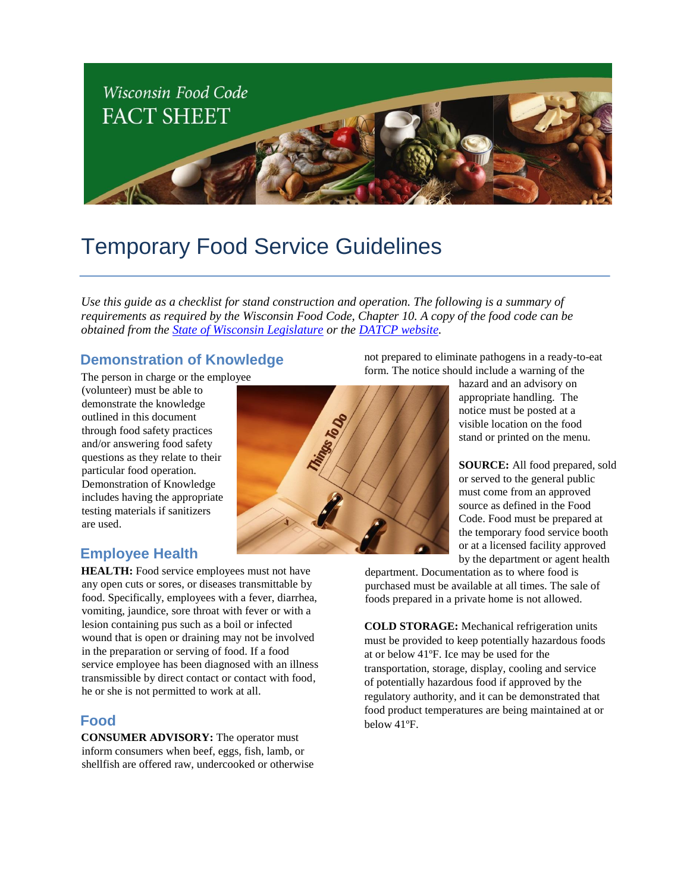

# Temporary Food Service Guidelines

*Use this guide as a checklist for stand construction and operation. The following is a summary of requirements as required by the Wisconsin Food Code, Chapter 10. A copy of the food code can be obtained from the [State of Wisconsin Legislature](http://docs.legis.wi.gov/code/admin_code/dhs/110/196_.pdf) or the [DATCP website.](http://datcp.wi.gov/Food/Wisconsin_Food_Safety_Laws/index.aspx)* 

## **Demonstration of Knowledge**

The person in charge or the employee

(volunteer) must be able to demonstrate the knowledge outlined in this document through food safety practices and/or answering food safety questions as they relate to their particular food operation. Demonstration of Knowledge includes having the appropriate testing materials if sanitizers are used.

## **Employee Health**

**HEALTH:** Food service employees must not have any open cuts or sores, or diseases transmittable by food. Specifically, employees with a fever, diarrhea, vomiting, jaundice, sore throat with fever or with a lesion containing pus such as a boil or infected wound that is open or draining may not be involved in the preparation or serving of food. If a food service employee has been diagnosed with an illness transmissible by direct contact or contact with food, he or she is not permitted to work at all.

## **Food**

**CONSUMER ADVISORY:** The operator must inform consumers when beef, eggs, fish, lamb, or shellfish are offered raw, undercooked or otherwise



not prepared to eliminate pathogens in a ready-to-eat form. The notice should include a warning of the

> hazard and an advisory on appropriate handling. The notice must be posted at a visible location on the food stand or printed on the menu.

**SOURCE:** All food prepared, sold or served to the general public must come from an approved source as defined in the Food Code. Food must be prepared at the temporary food service booth or at a licensed facility approved by the department or agent health

department. Documentation as to where food is purchased must be available at all times. The sale of foods prepared in a private home is not allowed.

**COLD STORAGE:** Mechanical refrigeration units must be provided to keep potentially hazardous foods at or below 41ºF. Ice may be used for the transportation, storage, display, cooling and service of potentially hazardous food if approved by the regulatory authority, and it can be demonstrated that food product temperatures are being maintained at or below 41ºF.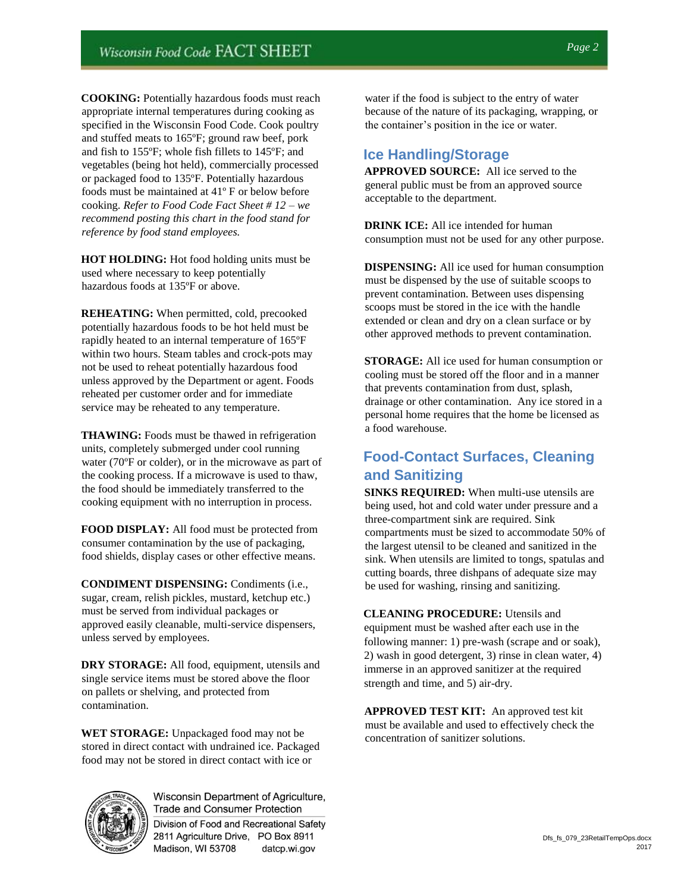**COOKING:** Potentially hazardous foods must reach appropriate internal temperatures during cooking as specified in the Wisconsin Food Code. Cook poultry and stuffed meats to 165ºF; ground raw beef, pork and fish to 155ºF; whole fish fillets to 145ºF; and vegetables (being hot held), commercially processed or packaged food to 135ºF. Potentially hazardous foods must be maintained at 41º F or below before cooking. *Refer to Food Code Fact Sheet # 12* – *we recommend posting this chart in the food stand for reference by food stand employees.* 

**HOT HOLDING:** Hot food holding units must be used where necessary to keep potentially hazardous foods at 135ºF or above.

**REHEATING:** When permitted, cold, precooked potentially hazardous foods to be hot held must be rapidly heated to an internal temperature of 165ºF within two hours. Steam tables and crock-pots may not be used to reheat potentially hazardous food unless approved by the Department or agent. Foods reheated per customer order and for immediate service may be reheated to any temperature.

**THAWING:** Foods must be thawed in refrigeration units, completely submerged under cool running water (70ºF or colder), or in the microwave as part of the cooking process. If a microwave is used to thaw, the food should be immediately transferred to the cooking equipment with no interruption in process.

**FOOD DISPLAY:** All food must be protected from consumer contamination by the use of packaging, food shields, display cases or other effective means.

**CONDIMENT DISPENSING:** Condiments (i.e., sugar, cream, relish pickles, mustard, ketchup etc.) must be served from individual packages or approved easily cleanable, multi-service dispensers, unless served by employees.

**DRY STORAGE:** All food, equipment, utensils and single service items must be stored above the floor on pallets or shelving, and protected from contamination.

**WET STORAGE:** Unpackaged food may not be stored in direct contact with undrained ice. Packaged food may not be stored in direct contact with ice or



**Trade and Consumer Protection** Division of Food and Recreational Safety 2811 Agriculture Drive, PO Box 8911 Madison, WI 53708 datcp.wi.gov

water if the food is subject to the entry of water because of the nature of its packaging, wrapping, or the container's position in the ice or water.

## **Ice Handling/Storage**

**APPROVED SOURCE:** All ice served to the general public must be from an approved source acceptable to the department.

**DRINK ICE:** All ice intended for human consumption must not be used for any other purpose.

**DISPENSING:** All ice used for human consumption must be dispensed by the use of suitable scoops to prevent contamination. Between uses dispensing scoops must be stored in the ice with the handle extended or clean and dry on a clean surface or by other approved methods to prevent contamination.

**STORAGE:** All ice used for human consumption or cooling must be stored off the floor and in a manner that prevents contamination from dust, splash, drainage or other contamination. Any ice stored in a personal home requires that the home be licensed as a food warehouse.

## **Food-Contact Surfaces, Cleaning and Sanitizing**

**SINKS REQUIRED:** When multi-use utensils are being used, hot and cold water under pressure and a three-compartment sink are required. Sink compartments must be sized to accommodate 50% of the largest utensil to be cleaned and sanitized in the sink. When utensils are limited to tongs, spatulas and cutting boards, three dishpans of adequate size may be used for washing, rinsing and sanitizing.

**CLEANING PROCEDURE:** Utensils and equipment must be washed after each use in the following manner: 1) pre-wash (scrape and or soak), 2) wash in good detergent, 3) rinse in clean water, 4) immerse in an approved sanitizer at the required strength and time, and 5) air-dry.

**APPROVED TEST KIT:** An approved test kit must be available and used to effectively check the concentration of sanitizer solutions.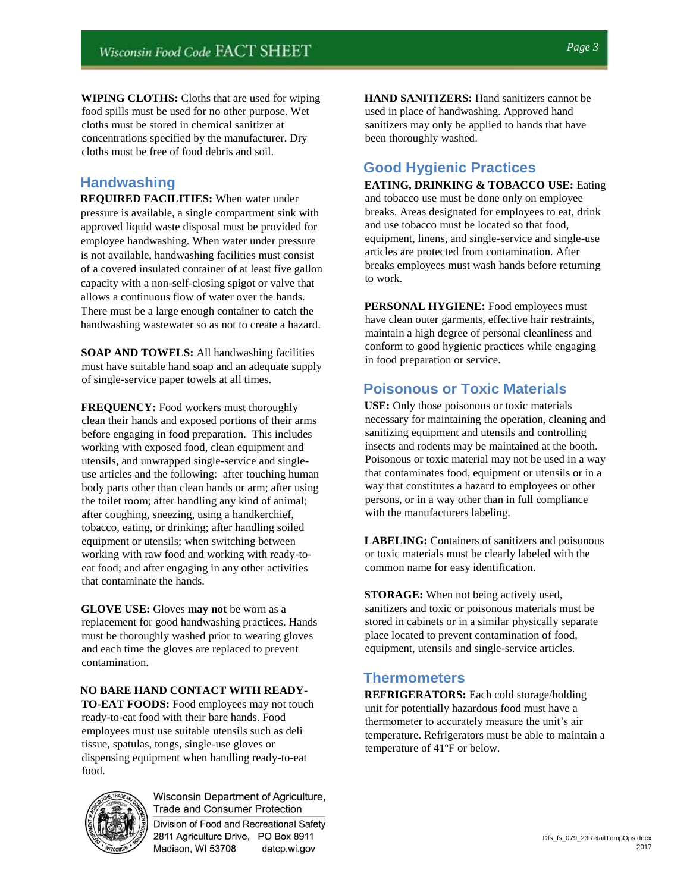**WIPING CLOTHS:** Cloths that are used for wiping food spills must be used for no other purpose. Wet cloths must be stored in chemical sanitizer at concentrations specified by the manufacturer. Dry cloths must be free of food debris and soil.

## **Handwashing**

**REQUIRED FACILITIES:** When water under pressure is available, a single compartment sink with approved liquid waste disposal must be provided for employee handwashing. When water under pressure is not available, handwashing facilities must consist of a covered insulated container of at least five gallon capacity with a non-self-closing spigot or valve that allows a continuous flow of water over the hands. There must be a large enough container to catch the handwashing wastewater so as not to create a hazard.

**SOAP AND TOWELS:** All handwashing facilities must have suitable hand soap and an adequate supply of single-service paper towels at all times.

**FREQUENCY:** Food workers must thoroughly clean their hands and exposed portions of their arms before engaging in food preparation. This includes working with exposed food, clean equipment and utensils, and unwrapped single-service and singleuse articles and the following: after touching human body parts other than clean hands or arm; after using the toilet room; after handling any kind of animal; after coughing, sneezing, using a handkerchief, tobacco, eating, or drinking; after handling soiled equipment or utensils; when switching between working with raw food and working with ready-toeat food; and after engaging in any other activities that contaminate the hands.

**GLOVE USE:** Gloves **may not** be worn as a replacement for good handwashing practices. Hands must be thoroughly washed prior to wearing gloves and each time the gloves are replaced to prevent contamination.

#### **NO BARE HAND CONTACT WITH READY-**

**TO-EAT FOODS:** Food employees may not touch ready-to-eat food with their bare hands. Food employees must use suitable utensils such as deli tissue, spatulas, tongs, single-use gloves or dispensing equipment when handling ready-to-eat food.



**Trade and Consumer Protection** Division of Food and Recreational Safety 2811 Agriculture Drive, PO Box 8911 Madison, WI 53708 datcp.wi.gov

**HAND SANITIZERS:** Hand sanitizers cannot be used in place of handwashing. Approved hand sanitizers may only be applied to hands that have been thoroughly washed.

## **Good Hygienic Practices**

**EATING, DRINKING & TOBACCO USE:** Eating and tobacco use must be done only on employee breaks. Areas designated for employees to eat, drink and use tobacco must be located so that food, equipment, linens, and single-service and single-use articles are protected from contamination. After breaks employees must wash hands before returning to work.

**PERSONAL HYGIENE:** Food employees must have clean outer garments, effective hair restraints, maintain a high degree of personal cleanliness and conform to good hygienic practices while engaging in food preparation or service.

## **Poisonous or Toxic Materials**

**USE:** Only those poisonous or toxic materials necessary for maintaining the operation, cleaning and sanitizing equipment and utensils and controlling insects and rodents may be maintained at the booth. Poisonous or toxic material may not be used in a way that contaminates food, equipment or utensils or in a way that constitutes a hazard to employees or other persons, or in a way other than in full compliance with the manufacturers labeling.

**LABELING:** Containers of sanitizers and poisonous or toxic materials must be clearly labeled with the common name for easy identification.

**STORAGE:** When not being actively used, sanitizers and toxic or poisonous materials must be stored in cabinets or in a similar physically separate place located to prevent contamination of food, equipment, utensils and single-service articles.

#### **Thermometers**

**REFRIGERATORS:** Each cold storage/holding unit for potentially hazardous food must have a thermometer to accurately measure the unit's air temperature. Refrigerators must be able to maintain a temperature of 41ºF or below.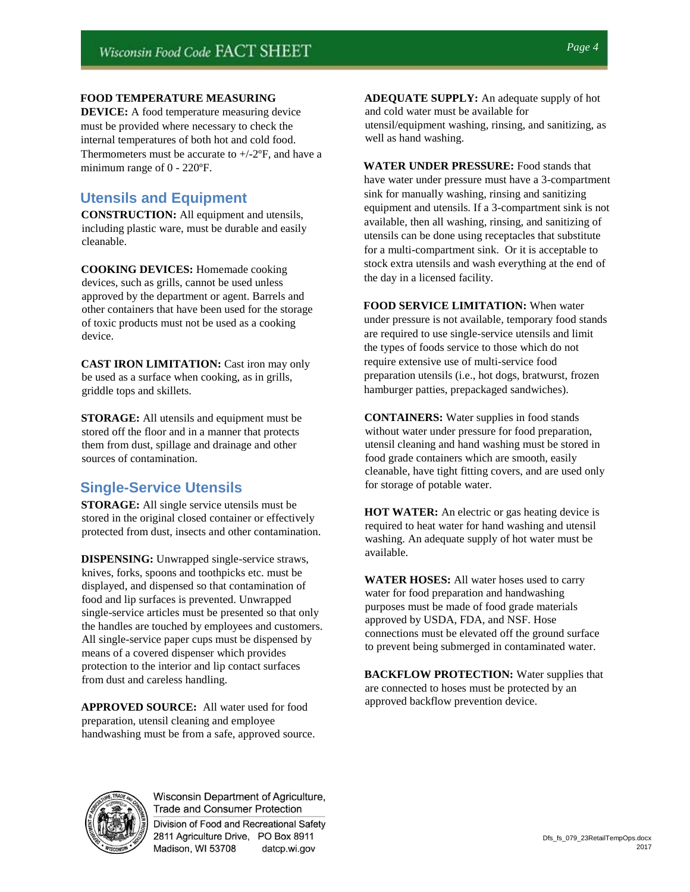#### **FOOD TEMPERATURE MEASURING**

**DEVICE:** A food temperature measuring device must be provided where necessary to check the internal temperatures of both hot and cold food. Thermometers must be accurate to  $+/-2$ °F, and have a minimum range of 0 - 220ºF.

## **Utensils and Equipment**

**CONSTRUCTION:** All equipment and utensils, including plastic ware, must be durable and easily cleanable.

**COOKING DEVICES:** Homemade cooking devices, such as grills, cannot be used unless approved by the department or agent. Barrels and other containers that have been used for the storage of toxic products must not be used as a cooking device.

**CAST IRON LIMITATION:** Cast iron may only be used as a surface when cooking, as in grills, griddle tops and skillets.

**STORAGE:** All utensils and equipment must be stored off the floor and in a manner that protects them from dust, spillage and drainage and other sources of contamination.

## **Single-Service Utensils**

**STORAGE:** All single service utensils must be stored in the original closed container or effectively protected from dust, insects and other contamination.

**DISPENSING:** Unwrapped single-service straws, knives, forks, spoons and toothpicks etc. must be displayed, and dispensed so that contamination of food and lip surfaces is prevented. Unwrapped single-service articles must be presented so that only the handles are touched by employees and customers. All single-service paper cups must be dispensed by means of a covered dispenser which provides protection to the interior and lip contact surfaces from dust and careless handling.

**APPROVED SOURCE:** All water used for food preparation, utensil cleaning and employee handwashing must be from a safe, approved source. **ADEQUATE SUPPLY:** An adequate supply of hot and cold water must be available for utensil/equipment washing, rinsing, and sanitizing, as well as hand washing.

**WATER UNDER PRESSURE:** Food stands that have water under pressure must have a 3-compartment sink for manually washing, rinsing and sanitizing equipment and utensils. If a 3-compartment sink is not available, then all washing, rinsing, and sanitizing of utensils can be done using receptacles that substitute for a multi-compartment sink. Or it is acceptable to stock extra utensils and wash everything at the end of the day in a licensed facility.

**FOOD SERVICE LIMITATION:** When water under pressure is not available, temporary food stands are required to use single-service utensils and limit the types of foods service to those which do not require extensive use of multi-service food preparation utensils (i.e., hot dogs, bratwurst, frozen hamburger patties, prepackaged sandwiches).

**CONTAINERS:** Water supplies in food stands without water under pressure for food preparation, utensil cleaning and hand washing must be stored in food grade containers which are smooth, easily cleanable, have tight fitting covers, and are used only for storage of potable water.

**HOT WATER:** An electric or gas heating device is required to heat water for hand washing and utensil washing. An adequate supply of hot water must be available.

**WATER HOSES:** All water hoses used to carry water for food preparation and handwashing purposes must be made of food grade materials approved by USDA, FDA, and NSF. Hose connections must be elevated off the ground surface to prevent being submerged in contaminated water.

**BACKFLOW PROTECTION:** Water supplies that are connected to hoses must be protected by an approved backflow prevention device.



Wisconsin Department of Agriculture,